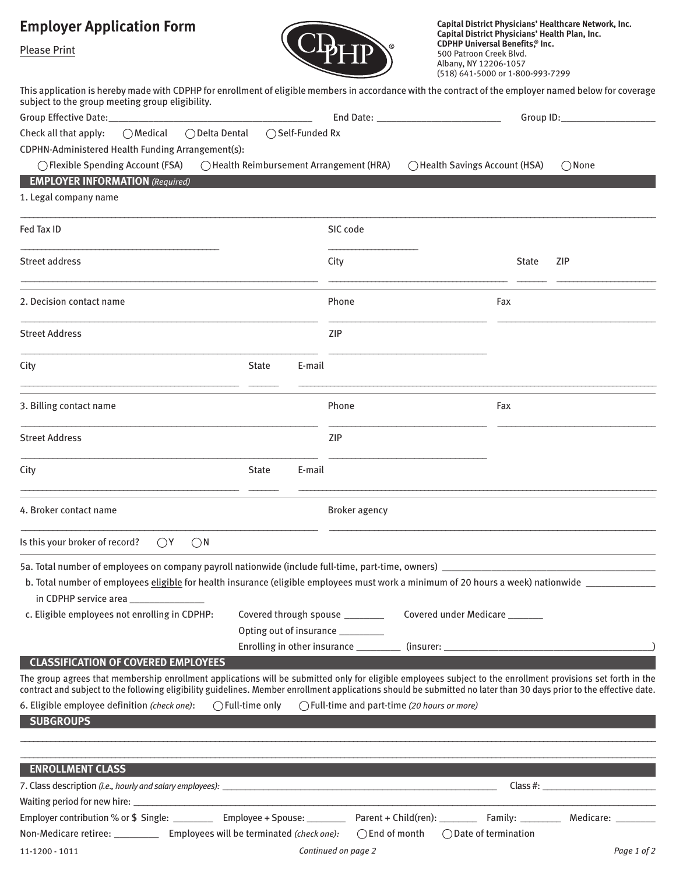## **Employer Application Form**



**Capital District Physicians' Healthcare Network, Inc. Capital District Physicians' Health Plan, Inc. CDPHP Universal Benefits, ® Inc.** 500 Patroon Creek Blvd. Albany, NY 12206-1057 (518) 641-5000 or 1-800-993-7299

Please Print

| This application is hereby made with CDPHP for enrollment of eligible members in accordance with the contract of the employer named below for coverage<br>subject to the group meeting group eligibility.<br>Group Effective Date:                                                                                                  |                                              |                                                                                                                                                                 |              |                 |
|-------------------------------------------------------------------------------------------------------------------------------------------------------------------------------------------------------------------------------------------------------------------------------------------------------------------------------------|----------------------------------------------|-----------------------------------------------------------------------------------------------------------------------------------------------------------------|--------------|-----------------|
| ○Medical ○Delta Dental ○Self-Funded Rx<br>Check all that apply:<br>CDPHN-Administered Health Funding Arrangement(s):<br>◯ Flexible Spending Account (FSA)<br>$\bigcap$ Health Reimbursement Arrangement (HRA)<br><b>EMPLOYER INFORMATION</b> (Required)                                                                             |                                              | ◯ Health Savings Account (HSA)                                                                                                                                  |              | $\bigcirc$ None |
| 1. Legal company name                                                                                                                                                                                                                                                                                                               |                                              |                                                                                                                                                                 |              |                 |
| Fed Tax ID                                                                                                                                                                                                                                                                                                                          | SIC code                                     |                                                                                                                                                                 |              |                 |
| Street address                                                                                                                                                                                                                                                                                                                      | City                                         |                                                                                                                                                                 | <b>State</b> | <b>ZIP</b>      |
| 2. Decision contact name                                                                                                                                                                                                                                                                                                            | Phone                                        | Fax                                                                                                                                                             |              |                 |
| <b>Street Address</b>                                                                                                                                                                                                                                                                                                               | ZIP                                          |                                                                                                                                                                 |              |                 |
| City<br><b>State</b><br>E-mail                                                                                                                                                                                                                                                                                                      |                                              |                                                                                                                                                                 |              |                 |
| 3. Billing contact name                                                                                                                                                                                                                                                                                                             | Phone                                        | Fax                                                                                                                                                             |              |                 |
| <b>Street Address</b>                                                                                                                                                                                                                                                                                                               | ZIP                                          |                                                                                                                                                                 |              |                 |
| City<br><b>State</b><br>E-mail                                                                                                                                                                                                                                                                                                      |                                              |                                                                                                                                                                 |              |                 |
| 4. Broker contact name                                                                                                                                                                                                                                                                                                              | <b>Broker agency</b>                         |                                                                                                                                                                 |              |                 |
| Is this your broker of record?<br>()Y<br>()N                                                                                                                                                                                                                                                                                        |                                              |                                                                                                                                                                 |              |                 |
| in CDPHP service area                                                                                                                                                                                                                                                                                                               |                                              |                                                                                                                                                                 |              |                 |
| c. Eligible employees not enrolling in CDPHP:<br>Opting out of insurance ________                                                                                                                                                                                                                                                   |                                              | Covered through spouse __________________ Covered under Medicare _________<br>Enrolling in other insurance ____________ (insurer: _____________________________ |              |                 |
| <b>CLASSIFICATION OF COVERED EMPLOYEES</b>                                                                                                                                                                                                                                                                                          |                                              |                                                                                                                                                                 |              |                 |
| The group agrees that membership enrollment applications will be submitted only for eligible employees subject to the enrollment provisions set forth in the<br>contract and subject to the following eligibility guidelines. Member enrollment applications should be submitted no later than 30 days prior to the effective date. |                                              |                                                                                                                                                                 |              |                 |
| 6. Eligible employee definition (check one):<br>$\bigcirc$ Full-time only<br><b>SUBGROUPS</b>                                                                                                                                                                                                                                       | ◯ Full-time and part-time (20 hours or more) |                                                                                                                                                                 |              |                 |
| <b>ENROLLMENT CLASS</b>                                                                                                                                                                                                                                                                                                             |                                              |                                                                                                                                                                 |              |                 |
|                                                                                                                                                                                                                                                                                                                                     |                                              |                                                                                                                                                                 |              | Class #:        |
|                                                                                                                                                                                                                                                                                                                                     |                                              |                                                                                                                                                                 |              |                 |
| Employer contribution % or \$ Single: __________ Employee + Spouse: _________ Parent + Child(ren): ________ Family: _________ Medicare: ________                                                                                                                                                                                    |                                              |                                                                                                                                                                 |              |                 |
| Non-Medicare retiree: _____________ Employees will be terminated (check one):                                                                                                                                                                                                                                                       | $\bigcirc$ End of month                      | $\bigcirc$ Date of termination                                                                                                                                  |              |                 |
| 11-1200 - 1011                                                                                                                                                                                                                                                                                                                      | Continued on page 2                          |                                                                                                                                                                 |              | Page 1 of 2     |